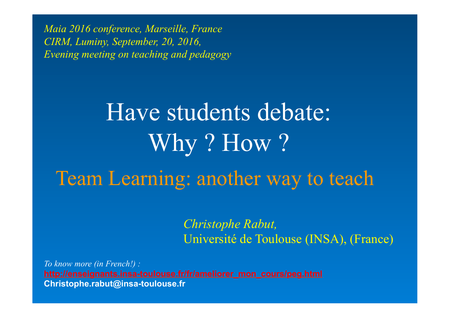*Maia 2016 conference, Marseille, France CIRM, Luminy, September, 20, 2016, Evening meeting on teaching and pedagogy* 

# Have students debate: Why? How? Team Learning: another way to teach

*Christophe Rabut,*  Université de Toulouse (INSA), (France)

*To know more (in French!) :*  **Christophe.rabut@insa-toulouse.fr**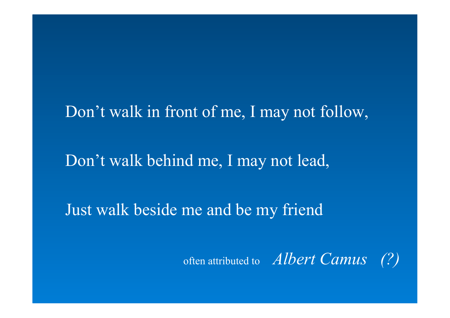## Don't walk in front of me, I may not follow,

Don't walk behind me, I may not lead,

Just walk beside me and be my friend

often attributed to *Albert Camus (?)*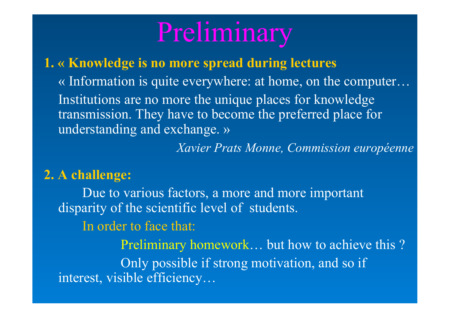# Preliminary

### **1. « Knowledge is no more spread during lectures**

« Information is quite everywhere: at home, on the computer… Institutions are no more the unique places for knowledge transmission. They have to become the preferred place for understanding and exchange. »

*Xavier Prats Monne, Commission européenne* 

### **2. A challenge:**

Due to various factors, a more and more important disparity of the scientific level of students.

In order to face that:

Preliminary homework… but how to achieve this ? Only possible if strong motivation, and so if interest, visible efficiency…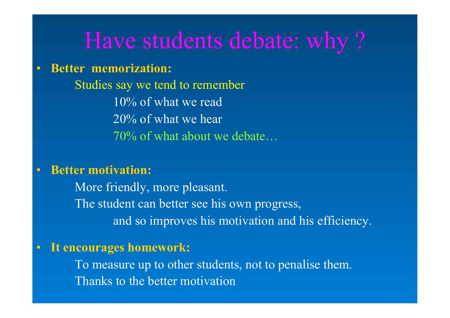# Have students debate: why ?

### • **Better memorization:**

Studies say we tend to remember 10% of what we read 20% of what we hear 70% of what about we debate…

### • **Better motivation:**

More friendly, more pleasant. The student can better see his own progress, and so improves his motivation and his efficiency.

### • **It encourages homework:**

To measure up to other students, not to penalise them. Thanks to the better motivation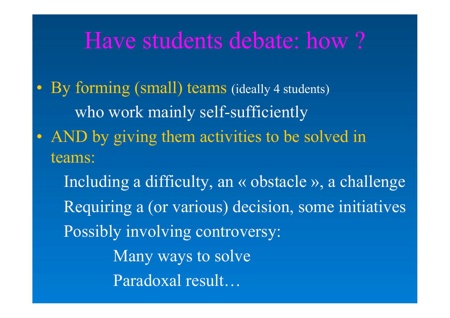# Have students debate: how ?

• By forming (small) teams (ideally 4 students) who work mainly self-sufficiently

• AND by giving them activities to be solved in teams:

 Including a difficulty, an « obstacle », a challenge Requiring a (or various) decision, some initiatives Possibly involving controversy: Many ways to solve Paradoxal result…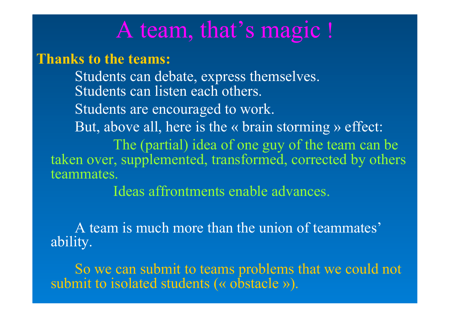# A team, that's magic !

**Thanks to the teams:** 

Students can debate, express themselves. Students can listen each others. Students are encouraged to work. But, above all, here is the « brain storming » effect: The (partial) idea of one guy of the team can be taken over, supplemented, transformed, corrected by others teammates.

Ideas affrontments enable advances.

A team is much more than the union of teammates' ability.

So we can submit to teams problems that we could not submit to isolated students (« obstacle »).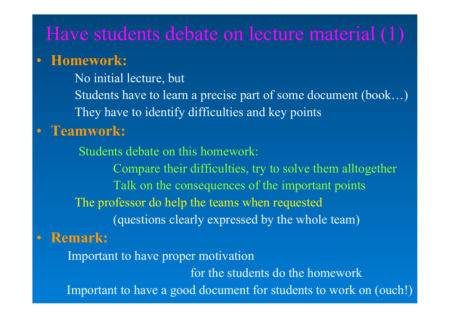## Have students debate on lecture material (1)

### • **Homework:**

No initial lecture, but

Students have to learn a precise part of some document (book…) They have to identify difficulties and key points

### • **Teamwork:**

Students debate on this homework: Compare their difficulties, try to solve them alltogether Talk on the consequences of the important points The professor do help the teams when requested (questions clearly expressed by the whole team)

### • **Remark:**

 Important to have proper motivation for the students do the homework Important to have a good document for students to work on (ouch!)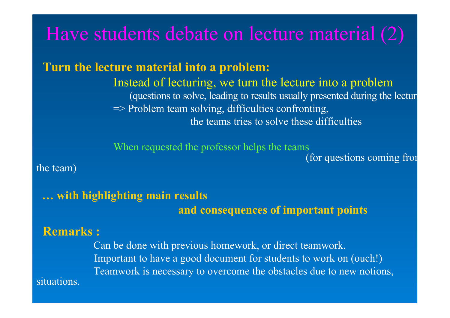# Have students debate on lecture material (2)

 **Turn the lecture material into a problem:** 

Instead of lecturing, we turn the lecture into a problem (questions to solve, leading to results usually presented during the lecture  $\Rightarrow$  Problem team solving, difficulties confronting, the teams tries to solve these difficulties

When requested the professor helps the teams<br>(for questions coming from

the team)

 **… with highlighting main results and consequences of important points** 

#### **Remarks :**

situations.

 Can be done with previous homework, or direct teamwork. Important to have a good document for students to work on (ouch!) Teamwork is necessary to overcome the obstacles due to new notions,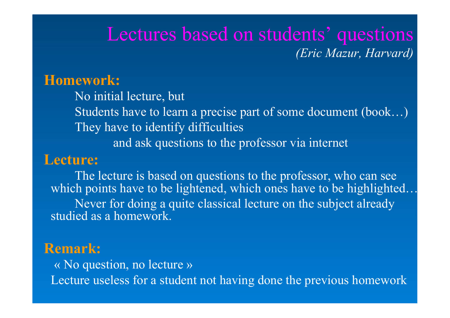## Lectures based on students' questions *(Eric Mazur, Harvard)*

### **Homework:**

No initial lecture, but Students have to learn a precise part of some document (book…) They have to identify difficulties and ask questions to the professor via internet

### **Lecture:**

The lecture is based on questions to the professor, who can see which points have to be lightened, which ones have to be highlighted.. Never for doing a quite classical lecture on the subject already studied as a homework.

### **Remark:**

 « No question, no lecture » Lecture useless for a student not having done the previous homework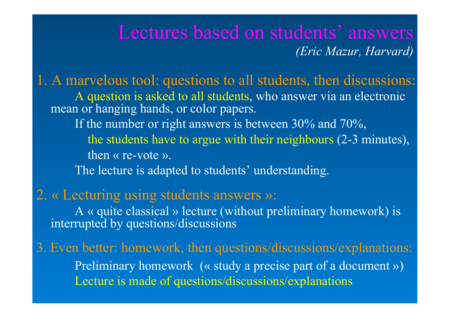## Lectures based on students' answers *(Eric Mazur, Harvard)*

1. A marvelous tool: questions to all students, then discussions: A question is asked to all students, who answer via an electronic mean or hanging hands, or color papers. If the number or right answers is between 30% and 70%,

> the students have to argue with their neighbours (2-3 minutes), then « re-vote ».

The lecture is adapted to students' understanding.

### 2. « Lecturing using students answers »:

A « quite classical » lecture (without preliminary homework) is interrupted by questions/discussions

3. Even better: homework, then questions/discussions/explanations: Preliminary homework (« study a precise part of a document ») Lecture is made of questions/discussions/explanations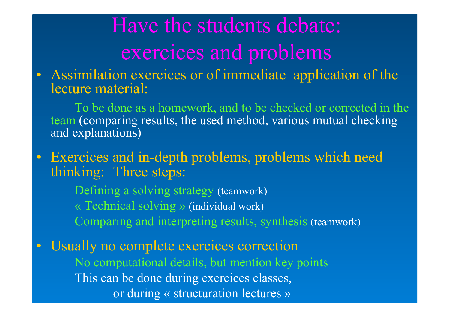# Have the students debate: exercices and problems

Assimilation exercices or of immediate application of the lecture material:

To be done as a homework, and to be checked or corrected in the team (comparing results, the used method, various mutual checking and explanations)

Exercices and in-depth problems, problems which need thinking: Three steps:

Defining a solving strategy (teamwork) « Technical solving » (individual work) Comparing and interpreting results, synthesis (teamwork)

Usually no complete exercices correction No computational details, but mention key points This can be done during exercices classes, or during « structuration lectures »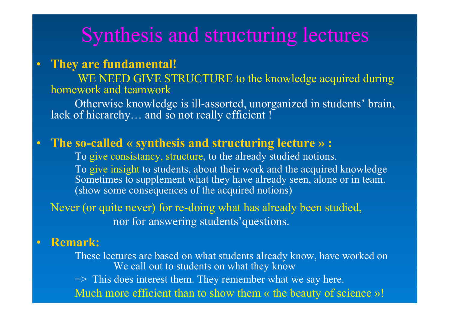# Synthesis and structuring lectures

### • **They are fundamental!**

WE NEED GIVE STRUCTURE to the knowledge acquired during homework and teamwork

Otherwise knowledge is ill-assorted, unorganized in students' brain, lack of hierarchy... and so not really efficient !

### • **The so-called « synthesis and structuring lecture » :**

 To give consistancy, structure, to the already studied notions. To give insight to students, about their work and the acquired knowledge Sometimes to supplement what they have already seen, alone or in team. (show some consequences of the acquired notions)

Never (or quite never) for re-doing what has already been studied, nor for answering students'questions.

#### • **Remark:**

These lectures are based on what students already know, have worked on We call out to students on what they know

=> This does interest them. They remember what we say here.

Much more efficient than to show them « the beauty of science »!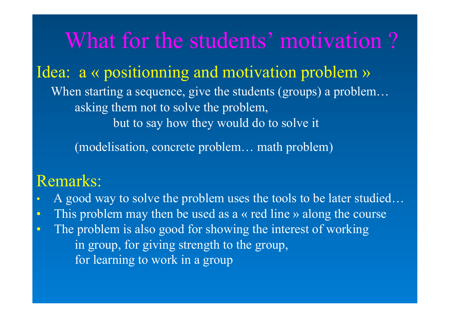What for the students' motivation ? Idea: a « positionning and motivation problem » When starting a sequence, give the students (groups) a problem… asking them not to solve the problem, but to say how they would do to solve it

(modelisation, concrete problem… math problem)

## Remarks:

- A good way to solve the problem uses the tools to be later studied…
- This problem may then be used as a « red line » along the course
- The problem is also good for showing the interest of working in group, for giving strength to the group, for learning to work in a group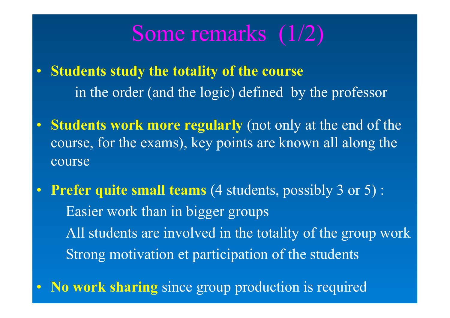# Some remarks (1/2)

- **Students study the totality of the course** in the order (and the logic) defined by the professor
- **Students work more regularly** (not only at the end of the course, for the exams), key points are known all along the course
- **Prefer quite small teams** (4 students, possibly 3 or 5) : Easier work than in bigger groups All students are involved in the totality of the group work Strong motivation et participation of the students
- **No work sharing** since group production is required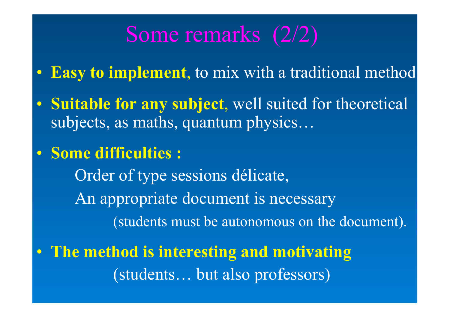# Some remarks (2/2)

- **Easy to implement**, to mix with a traditional method
- **Suitable for any subject**, well suited for theoretical subjects, as maths, quantum physics…
- **Some difficulties :**

Order of type sessions délicate, An appropriate document is necessary (students must be autonomous on the document).

• **The method is interesting and motivating** (students… but also professors)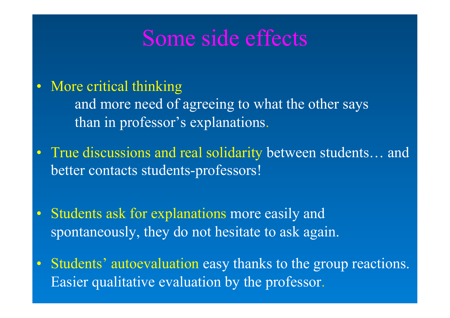# Some side effects

• More critical thinking

and more need of agreeing to what the other says than in professor's explanations.

- True discussions and real solidarity between students... and better contacts students-professors!
- Students ask for explanations more easily and spontaneously, they do not hesitate to ask again.
- Students' autoevaluation easy thanks to the group reactions. Easier qualitative evaluation by the professor.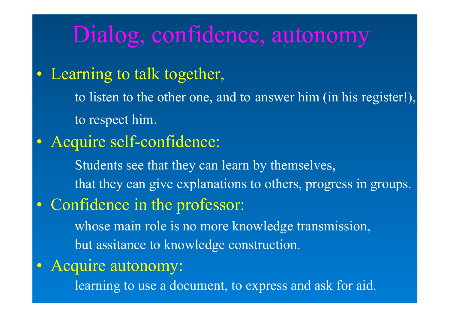# Dialog, confidence, autonomy

## • Learning to talk together,

to listen to the other one, and to answer him (in his register!), to respect him.

## • Acquire self-confidence:

Students see that they can learn by themselves, that they can give explanations to others, progress in groups.

## • Confidence in the professor:

whose main role is no more knowledge transmission, but assitance to knowledge construction.

## • Acquire autonomy:

learning to use a document, to express and ask for aid.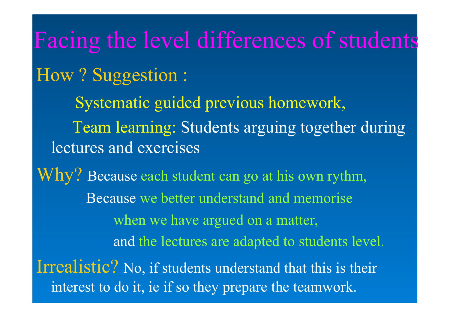Facing the level differences of students How ? Suggestion : Systematic guided previous homework, Team learning: Students arguing together during lectures and exercises Why? Because each student can go at his own rythm, Because we better understand and memorise when we have argued on a matter, and the lectures are adapted to students level. Irrealistic? No, if students understand that this is their interest to do it, ie if so they prepare the teamwork.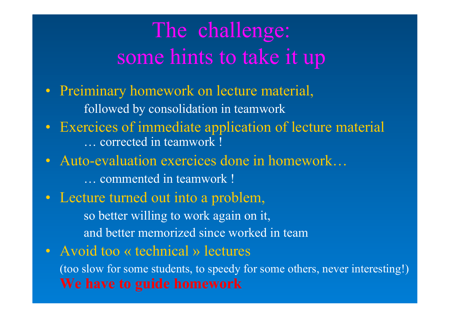# The challenge: some hints to take it up

- Preiminary homework on lecture material, followed by consolidation in teamwork
- Exercices of immediate application of lecture material … corrected in teamwork !
- Auto-evaluation exercices done in homework...

… commented in teamwork !

- Lecture turned out into a problem, so better willing to work again on it, and better memorized since worked in team
- Avoid too « technical » lectures (too slow for some students, to speedy for some others, never interesting!) **We have to guide homework**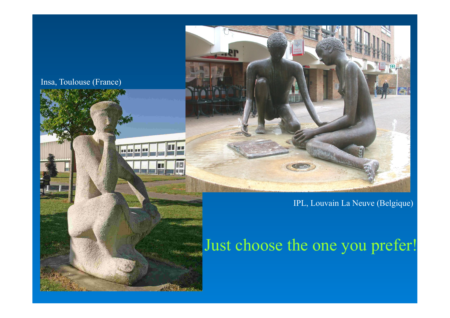#### Insa, Toulouse (France)





#### IPL, Louvain La Neuve (Belgique)

## Just choose the one you prefer!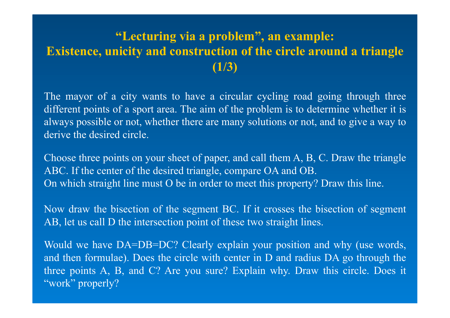### **"Lecturing via a problem", an example: Existence, unicity and construction of the circle around a triangle (1/3)**

The mayor of a city wants to have a circular cycling road going through three different points of a sport area. The aim of the problem is to determine whether it is always possible or not, whether there are many solutions or not, and to give a way to derive the desired circle.

Choose three points on your sheet of paper, and call them A, B, C. Draw the triangle ABC. If the center of the desired triangle, compare OA and OB. On which straight line must O be in order to meet this property? Draw this line.

Now draw the bisection of the segment BC. If it crosses the bisection of segment AB, let us call D the intersection point of these two straight lines.

Would we have DA=DB=DC? Clearly explain your position and why (use words, and then formulae). Does the circle with center in D and radius DA go through the three points A, B, and C? Are you sure? Explain why. Draw this circle. Does it "work" properly?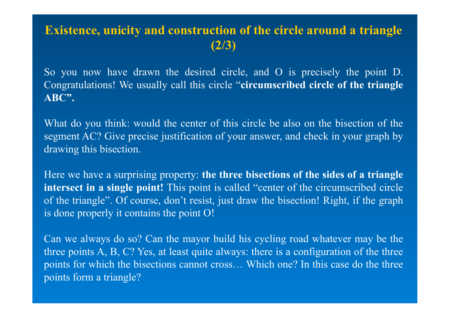### **Existence, unicity and construction of the circle around a triangle (2/3)**

So you now have drawn the desired circle, and O is precisely the point D. Congratulations! We usually call this circle "**circumscribed circle of the triangle ABC".**

What do you think: would the center of this circle be also on the bisection of the segment AC? Give precise justification of your answer, and check in your graph by drawing this bisection.

Here we have a surprising property: **the three bisections of the sides of a triangle intersect in a single point!** This point is called "center of the circumscribed circle of the triangle". Of course, don't resist, just draw the bisection! Right, if the graph is done properly it contains the point O!

Can we always do so? Can the mayor build his cycling road whatever may be the three points A, B, C? Yes, at least quite always: there is a configuration of the three points for which the bisections cannot cross… Which one? In this case do the three points form a triangle?